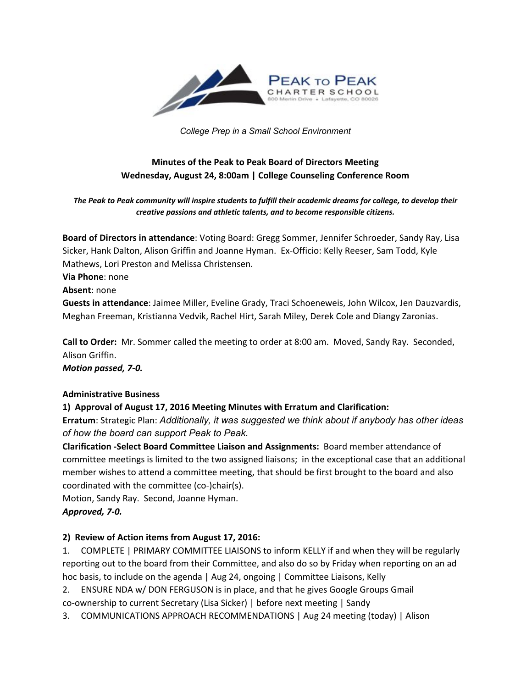

*College Prep in a Small School Environment*

# **Minutes of the Peak to Peak Board of Directors Meeting Wednesday, August 24, 8:00am | College Counseling Conference Room**

*The Peak to Peak community will inspire students to fulfill their academic dreams for college, to develop their creative passions and athletic talents, and to become responsible citizens.*

**Board of Directors in attendance**: Voting Board: Gregg Sommer, Jennifer Schroeder, Sandy Ray, Lisa Sicker, Hank Dalton, Alison Griffin and Joanne Hyman. Ex-Officio: Kelly Reeser, Sam Todd, Kyle Mathews, Lori Preston and Melissa Christensen.

**Via Phone**: none

**Absent**: none

**Guests in attendance**: Jaimee Miller, Eveline Grady, Traci Schoeneweis, John Wilcox, Jen Dauzvardis, Meghan Freeman, Kristianna Vedvik, Rachel Hirt, Sarah Miley, Derek Cole and Diangy Zaronias.

**Call to Order:** Mr. Sommer called the meeting to order at 8:00 am. Moved, Sandy Ray. Seconded, Alison Griffin.

*Motion passed, 7-0.* 

## **Administrative Business**

## **1) Approval of August 17, 2016 Meeting Minutes with Erratum and Clarification:**

**Erratum**: Strategic Plan: *Additionally, it was suggested we think about if anybody has other ideas of how the board can support Peak to Peak.*

**Clarification -Select Board Committee Liaison and Assignments: Board member attendance of** committee meetings is limited to the two assigned liaisons; in the exceptional case that an additional member wishes to attend a committee meeting, that should be first brought to the board and also coordinated with the committee (co-)chair(s).

Motion, Sandy Ray. Second, Joanne Hyman.

## Approved, 7-0.

## **2) Review of Action items from August 17, 2016:**

1. COMPLETE | PRIMARY COMMITTEE LIAISONS to inform KELLY if and when they will be regularly reporting out to the board from their Committee, and also do so by Friday when reporting on an ad hoc basis, to include on the agenda | Aug 24, ongoing | Committee Liaisons, Kelly

2. ENSURE NDA w/ DON FERGUSON is in place, and that he gives Google Groups Gmail co-ownership to current Secretary (Lisa Sicker) | before next meeting | Sandy

3. COMMUNICATIONS APPROACH RECOMMENDATIONS | Aug 24 meeting (today) | Alison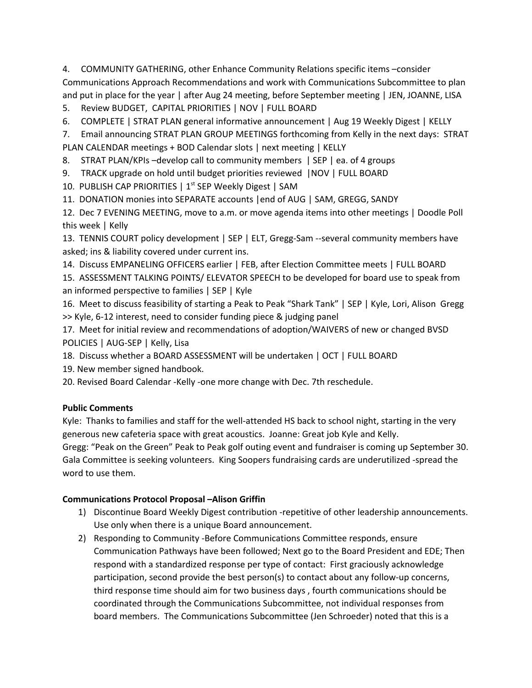4. **COMMUNITY GATHERING, other Enhance Community Relations specific items –consider** Communications Approach Recommendations and work with Communications Subcommittee to plan and put in place for the year | after Aug 24 meeting, before September meeting | JEN, JOANNE, LISA

- 5. Review BUDGET, CAPITAL PRIORITIES | NOV | FULL BOARD
- 6. COMPLETE | STRAT PLAN general informative announcement | Aug 19 Weekly Digest | KELLY

7. Email announcing STRAT PLAN GROUP MEETINGS forthcoming from Kelly in the next days: STRAT PLAN CALENDAR meetings + BOD Calendar slots | next meeting | KELLY

- 8. STRAT PLAN/KPIs –develop call to community members | SEP | ea. of 4 groups
- 9. TRACK upgrade on hold until budget priorities reviewed |NOV | FULL BOARD
- 10. PUBLISH CAP PRIORITIES | 1<sup>st</sup> SEP Weekly Digest | SAM
- 11. DONATION monies into SEPARATE accounts |end of AUG | SAM, GREGG, SANDY

12. Dec 7 EVENING MEETING, move to a.m. or move agenda items into other meetings | Doodle Poll this week | Kelly

13. TENNIS COURT policy development | SEP | ELT, Gregg-Sam --several community members have asked; ins & liability covered under current ins.

14. Discuss EMPANELING OFFICERS earlier | FEB, after Election Committee meets | FULL BOARD

15. ASSESSMENT TALKING POINTS/ ELEVATOR SPEECH to be developed for board use to speak from an informed perspective to families | SEP | Kyle

16. Meet to discuss feasibility of starting a Peak to Peak "Shark Tank" | SEP | Kyle, Lori, Alison Gregg >> Kyle, 6-12 interest, need to consider funding piece & judging panel

- 17. Meet for initial review and recommendations of adoption/WAIVERS of new or changed BVSD POLICIES | AUG-SEP | Kelly, Lisa
- 18. Discuss whether a BOARD ASSESSMENT will be undertaken | OCT | FULL BOARD
- 19. New member signed handbook.
- 20. Revised Board Calendar -Kelly -one more change with Dec. 7th reschedule.

## **Public Comments**

Kyle: Thanks to families and staff for the well-attended HS back to school night, starting in the very generous new cafeteria space with great acoustics. Joanne: Great job Kyle and Kelly. Gregg: "Peak on the Green" Peak to Peak golf outing event and fundraiser is coming up September 30.

Gala Committee is seeking volunteers. King Soopers fundraising cards are underutilized -spread the word to use them.

## **Communications Protocol Proposal –Alison Griffin**

- 1) Discontinue Board Weekly Digest contribution repetitive of other leadership announcements. Use only when there is a unique Board announcement.
- 2) Responding to Community -Before Communications Committee responds, ensure Communication Pathways have been followed; Next go to the Board President and EDE; Then respond with a standardized response per type of contact: First graciously acknowledge participation, second provide the best person(s) to contact about any follow-up concerns, third response time should aim for two business days , fourth communications should be coordinated through the Communications Subcommittee, not individual responses from board members. The Communications Subcommittee (Jen Schroeder) noted that this is a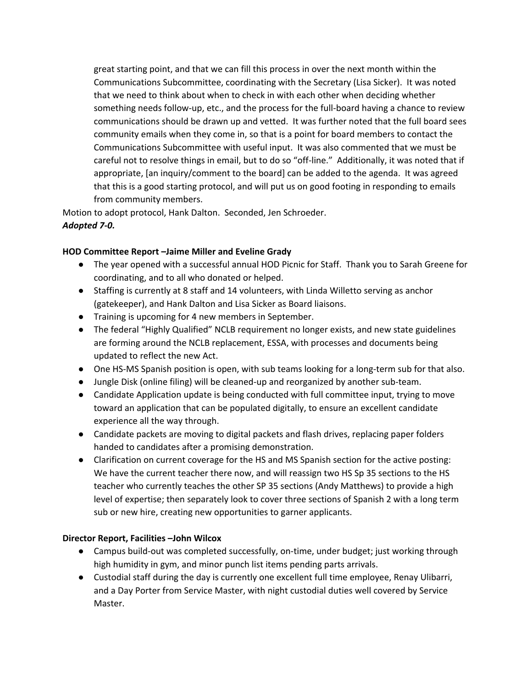great starting point, and that we can fill this process in over the next month within the Communications Subcommittee, coordinating with the Secretary (Lisa Sicker). It was noted that we need to think about when to check in with each other when deciding whether something needs follow-up, etc., and the process for the full-board having a chance to review communications should be drawn up and vetted. It was further noted that the full board sees community emails when they come in, so that is a point for board members to contact the Communications Subcommittee with useful input. It was also commented that we must be careful not to resolve things in email, but to do so "off-line." Additionally, it was noted that if appropriate, [an inquiry/comment to the board] can be added to the agenda. It was agreed that this is a good starting protocol, and will put us on good footing in responding to emails from community members.

Motion to adopt protocol, Hank Dalton. Seconded, Jen Schroeder. *Adopted 7-0.* 

#### **HOD Committee Report –Jaime Miller and Eveline Grady**

- The year opened with a successful annual HOD Picnic for Staff. Thank you to Sarah Greene for coordinating, and to all who donated or helped.
- Staffing is currently at 8 staff and 14 volunteers, with Linda Willetto serving as anchor (gatekeeper), and Hank Dalton and Lisa Sicker as Board liaisons.
- Training is upcoming for 4 new members in September.
- The federal "Highly Qualified" NCLB requirement no longer exists, and new state guidelines are forming around the NCLB replacement, ESSA, with processes and documents being updated to reflect the new Act.
- One HS-MS Spanish position is open, with sub teams looking for a long-term sub for that also.
- Jungle Disk (online filing) will be cleaned-up and reorganized by another sub-team.
- Candidate Application update is being conducted with full committee input, trying to move toward an application that can be populated digitally, to ensure an excellent candidate experience all the way through.
- Candidate packets are moving to digital packets and flash drives, replacing paper folders handed to candidates after a promising demonstration.
- Clarification on current coverage for the HS and MS Spanish section for the active posting: We have the current teacher there now, and will reassign two HS Sp 35 sections to the HS teacher who currently teaches the other SP 35 sections (Andy Matthews) to provide a high level of expertise; then separately look to cover three sections of Spanish 2 with a long term sub or new hire, creating new opportunities to garner applicants.

## **Director Report, Facilities –John Wilcox**

- Campus build-out was completed successfully, on-time, under budget; just working through high humidity in gym, and minor punch list items pending parts arrivals.
- Custodial staff during the day is currently one excellent full time employee, Renay Ulibarri, and a Day Porter from Service Master, with night custodial duties well covered by Service Master.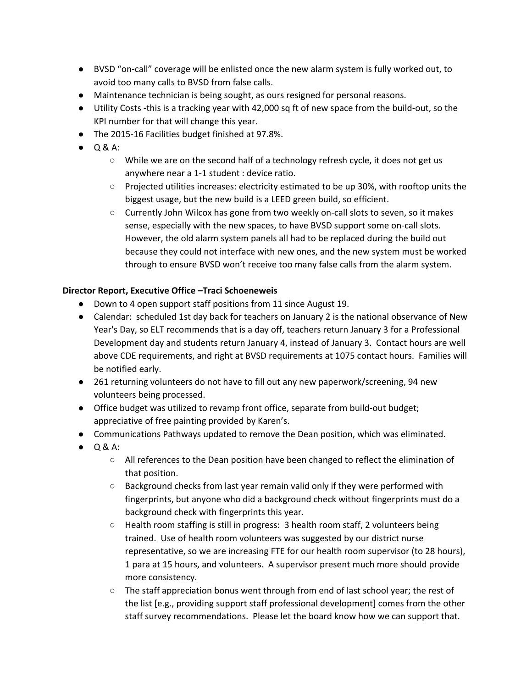- BVSD "oncall" coverage will be enlisted once the new alarm system is fully worked out, to avoid too many calls to BVSD from false calls.
- Maintenance technician is being sought, as ours resigned for personal reasons.
- Utility Costs -this is a tracking year with 42,000 sq ft of new space from the build-out, so the KPI number for that will change this year.
- The 2015-16 Facilities budget finished at 97.8%.
- Q & A:
	- $\circ$  While we are on the second half of a technology refresh cycle, it does not get us anywhere near a 1-1 student : device ratio.
	- Projected utilities increases: electricity estimated to be up 30%, with rooftop units the biggest usage, but the new build is a LEED green build, so efficient.
	- Currently John Wilcox has gone from two weekly on-call slots to seven, so it makes sense, especially with the new spaces, to have BVSD support some on-call slots. However, the old alarm system panels all had to be replaced during the build out because they could not interface with new ones, and the new system must be worked through to ensure BVSD won't receive too many false calls from the alarm system.

## **Director Report, Executive Office –Traci Schoeneweis**

- Down to 4 open support staff positions from 11 since August 19.
- Calendar: scheduled 1st day back for teachers on January 2 is the national observance of New Year's Day, so ELT recommends that is a day off, teachers return January 3 for a Professional Development day and students return January 4, instead of January 3. Contact hours are well above CDE requirements, and right at BVSD requirements at 1075 contact hours. Families will be notified early.
- 261 returning volunteers do not have to fill out any new paperwork/screening, 94 new volunteers being processed.
- Office budget was utilized to revamp front office, separate from build-out budget; appreciative of free painting provided by Karen's.
- Communications Pathways updated to remove the Dean position, which was eliminated.
- Q & A:
	- All references to the Dean position have been changed to reflect the elimination of that position.
	- Background checks from last year remain valid only if they were performed with fingerprints, but anyone who did a background check without fingerprints must do a background check with fingerprints this year.
	- Health room staffing is still in progress: 3 health room staff, 2 volunteers being trained. Use of health room volunteers was suggested by our district nurse representative, so we are increasing FTE for our health room supervisor (to 28 hours), 1 para at 15 hours, and volunteers. A supervisor present much more should provide more consistency.
	- The staff appreciation bonus went through from end of last school year; the rest of the list [e.g., providing support staff professional development] comes from the other staff survey recommendations. Please let the board know how we can support that.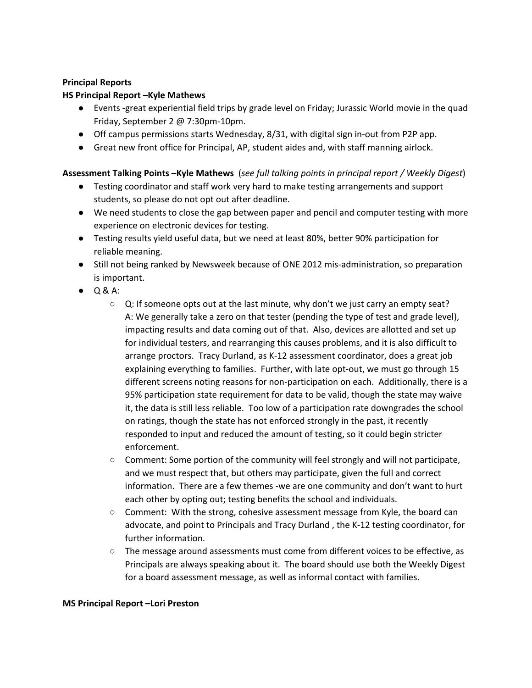#### **Principal Reports**

#### **HS Principal Report –Kyle Mathews**

- Events -great experiential field trips by grade level on Friday; Jurassic World movie in the quad Friday, September 2 @ 7:30pm-10pm.
- $\bullet$  Off campus permissions starts Wednesday, 8/31, with digital sign in-out from P2P app.
- Great new front office for Principal, AP, student aides and, with staff manning airlock.

## **Assessment Talking Points –Kyle Mathews** (*see full talking points in principal report / Weekly Digest*)

- Testing coordinator and staff work very hard to make testing arrangements and support students, so please do not opt out after deadline.
- We need students to close the gap between paper and pencil and computer testing with more experience on electronic devices for testing.
- Testing results yield useful data, but we need at least 80%, better 90% participation for reliable meaning.
- Still not being ranked by Newsweek because of ONE 2012 mis-administration, so preparation is important.
- Q & A:
	- Q: If someone opts out at the last minute, why don't we just carry an empty seat? A: We generally take a zero on that tester (pending the type of test and grade level), impacting results and data coming out of that. Also, devices are allotted and set up for individual testers, and rearranging this causes problems, and it is also difficult to arrange proctors. Tracy Durland, as K12 assessment coordinator, does a great job explaining everything to families. Further, with late opt-out, we must go through 15 different screens noting reasons for non-participation on each. Additionally, there is a 95% participation state requirement for data to be valid, though the state may waive it, the data is still less reliable. Too low of a participation rate downgrades the school on ratings, though the state has not enforced strongly in the past, it recently responded to input and reduced the amount of testing, so it could begin stricter enforcement.
	- $\circ$  Comment: Some portion of the community will feel strongly and will not participate, and we must respect that, but others may participate, given the full and correct information. There are a few themes -we are one community and don't want to hurt each other by opting out; testing benefits the school and individuals.
	- $\circ$  Comment: With the strong, cohesive assessment message from Kyle, the board can advocate, and point to Principals and Tracy Durland , the K12 testing coordinator, for further information.
	- The message around assessments must come from different voices to be effective, as Principals are always speaking about it. The board should use both the Weekly Digest for a board assessment message, as well as informal contact with families.

#### **MS Principal Report –Lori Preston**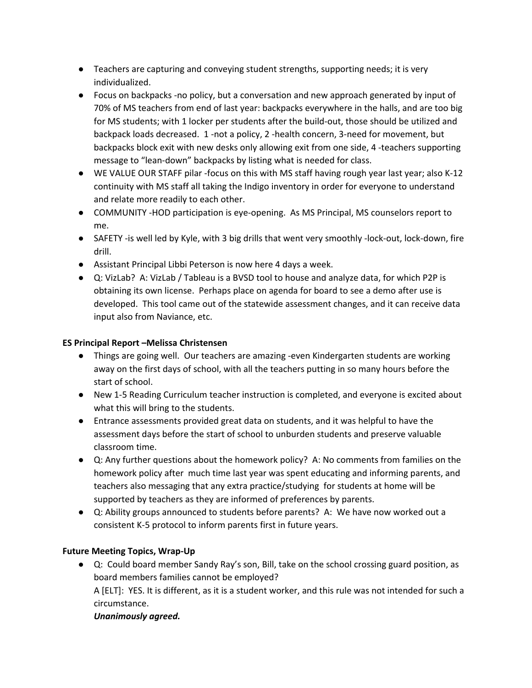- Teachers are capturing and conveying student strengths, supporting needs; it is very individualized.
- Focus on backpacks no policy, but a conversation and new approach generated by input of 70% of MS teachers from end of last year: backpacks everywhere in the halls, and are too big for MS students; with 1 locker per students after the build-out, those should be utilized and backpack loads decreased. 1 -not a policy, 2 -health concern, 3-need for movement, but backpacks block exit with new desks only allowing exit from one side, 4 teachers supporting message to "lean-down" backpacks by listing what is needed for class.
- WE VALUE OUR STAFF pilar -focus on this with MS staff having rough year last year; also K-12 continuity with MS staff all taking the Indigo inventory in order for everyone to understand and relate more readily to each other.
- COMMUNITY -HOD participation is eye-opening. As MS Principal, MS counselors report to me.
- SAFETY -is well led by Kyle, with 3 big drills that went very smoothly -lock-out, lock-down, fire drill.
- Assistant Principal Libbi Peterson is now here 4 days a week.
- Q: VizLab? A: VizLab / Tableau is a BVSD tool to house and analyze data, for which P2P is obtaining its own license. Perhaps place on agenda for board to see a demo after use is developed. This tool came out of the statewide assessment changes, and it can receive data input also from Naviance, etc.

## **ES Principal Report –Melissa Christensen**

- Things are going well. Our teachers are amazing -even Kindergarten students are working away on the first days of school, with all the teachers putting in so many hours before the start of school.
- New 15 Reading Curriculum teacher instruction is completed, and everyone is excited about what this will bring to the students.
- Entrance assessments provided great data on students, and it was helpful to have the assessment days before the start of school to unburden students and preserve valuable classroom time.
- Q: Any further questions about the homework policy? A: No comments from families on the homework policy after much time last year was spent educating and informing parents, and teachers also messaging that any extra practice/studying for students at home will be supported by teachers as they are informed of preferences by parents.
- Q: Ability groups announced to students before parents? A: We have now worked out a consistent K-5 protocol to inform parents first in future years.

## **Future Meeting Topics, Wrap-Up**

● Q: Could board member Sandy Ray's son, Bill, take on the school crossing guard position, as board members families cannot be employed? A [ELT]: YES. It is different, as it is a student worker, and this rule was not intended for such a circumstance.

## *Unanimously agreed.*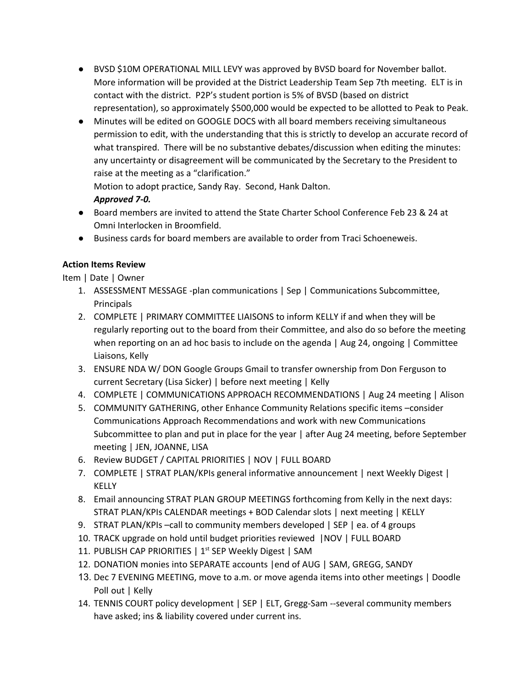- BVSD \$10M OPERATIONAL MILL LEVY was approved by BVSD board for November ballot. More information will be provided at the District Leadership Team Sep 7th meeting. ELT is in contact with the district. P2P's student portion is 5% of BVSD (based on district representation), so approximately \$500,000 would be expected to be allotted to Peak to Peak.
- Minutes will be edited on GOOGLE DOCS with all board members receiving simultaneous permission to edit, with the understanding that this is strictly to develop an accurate record of what transpired. There will be no substantive debates/discussion when editing the minutes: any uncertainty or disagreement will be communicated by the Secretary to the President to raise at the meeting as a "clarification."

Motion to adopt practice, Sandy Ray. Second, Hank Dalton.

# Approved 7-0.

- Board members are invited to attend the State Charter School Conference Feb 23 & 24 at Omni Interlocken in Broomfield.
- Business cards for board members are available to order from Traci Schoeneweis.

# **Action Items Review**

Item | Date | Owner

- 1. ASSESSMENT MESSAGE -plan communications | Sep | Communications Subcommittee, Principals
- 2. COMPLETE | PRIMARY COMMITTEE LIAISONS to inform KELLY if and when they will be regularly reporting out to the board from their Committee, and also do so before the meeting when reporting on an ad hoc basis to include on the agenda | Aug 24, ongoing | Committee Liaisons, Kelly
- 3. ENSURE NDA W/ DON Google Groups Gmail to transfer ownership from Don Ferguson to current Secretary (Lisa Sicker) | before next meeting | Kelly
- 4. COMPLETE | COMMUNICATIONS APPROACH RECOMMENDATIONS | Aug 24 meeting | Alison
- 5. COMMUNITY GATHERING, other Enhance Community Relations specific items –consider Communications Approach Recommendations and work with new Communications Subcommittee to plan and put in place for the year | after Aug 24 meeting, before September meeting | JEN, JOANNE, LISA
- 6. Review BUDGET / CAPITAL PRIORITIES | NOV | FULL BOARD
- 7. COMPLETE | STRAT PLAN/KPIs general informative announcement | next Weekly Digest | KELLY
- 8. Email announcing STRAT PLAN GROUP MEETINGS forthcoming from Kelly in the next days: STRAT PLAN/KPIs CALENDAR meetings + BOD Calendar slots | next meeting | KELLY
- 9. STRAT PLAN/KPIs –call to community members developed | SEP | ea. of 4 groups
- 10. TRACK upgrade on hold until budget priorities reviewed |NOV | FULL BOARD
- 11. PUBLISH CAP PRIORITIES | 1<sup>st</sup> SEP Weekly Digest | SAM
- 12. DONATION monies into SEPARATE accounts |end of AUG | SAM, GREGG, SANDY
- 13. Dec 7 EVENING MEETING, move to a.m. or move agenda items into other meetings | Doodle Poll out | Kelly
- 14. TENNIS COURT policy development | SEP | ELT, Gregg-Sam --several community members have asked; ins & liability covered under current ins.